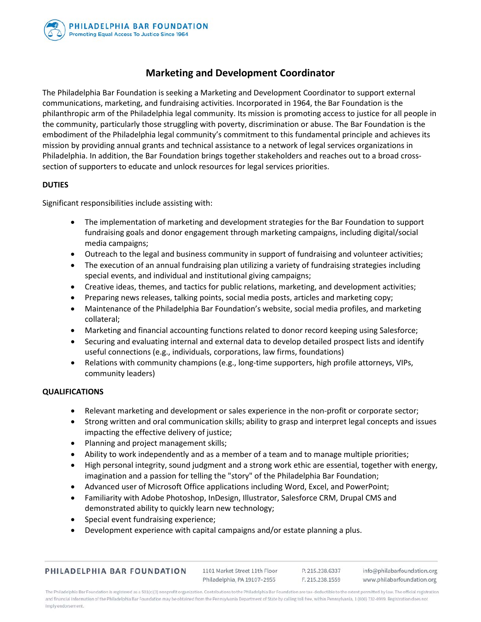

# **Marketing and Development Coordinator**

The Philadelphia Bar Foundation is seeking a Marketing and Development Coordinator to support external communications, marketing, and fundraising activities. Incorporated in 1964, the Bar Foundation is the philanthropic arm of the Philadelphia legal community. Its mission is promoting access to justice for all people in the community, particularly those struggling with poverty, discrimination or abuse. The Bar Foundation is the embodiment of the Philadelphia legal community's commitment to this fundamental principle and achieves its mission by providing annual grants and technical assistance to a network of legal services organizations in Philadelphia. In addition, the Bar Foundation brings together stakeholders and reaches out to a broad crosssection of supporters to educate and unlock resources for legal services priorities.

## **DUTIES**

Significant responsibilities include assisting with:

- The implementation of marketing and development strategies for the Bar Foundation to support fundraising goals and donor engagement through marketing campaigns, including digital/social media campaigns;
- Outreach to the legal and business community in support of fundraising and volunteer activities;
- The execution of an annual fundraising plan utilizing a variety of fundraising strategies including special events, and individual and institutional giving campaigns;
- Creative ideas, themes, and tactics for public relations, marketing, and development activities;
- Preparing news releases, talking points, social media posts, articles and marketing copy;
- Maintenance of the Philadelphia Bar Foundation's website, social media profiles, and marketing collateral;
- Marketing and financial accounting functions related to donor record keeping using Salesforce;
- Securing and evaluating internal and external data to develop detailed prospect lists and identify useful connections (e.g., individuals, corporations, law firms, foundations)
- Relations with community champions (e.g., long-time supporters, high profile attorneys, VIPs, community leaders)

#### **QUALIFICATIONS**

- Relevant marketing and development or sales experience in the non-profit or corporate sector;
- Strong written and oral communication skills; ability to grasp and interpret legal concepts and issues impacting the effective delivery of justice;
- Planning and project management skills;
- Ability to work independently and as a member of a team and to manage multiple priorities;
- High personal integrity, sound judgment and a strong work ethic are essential, together with energy, imagination and a passion for telling the "story" of the Philadelphia Bar Foundation;
- Advanced user of Microsoft Office applications including Word, Excel, and PowerPoint;
- Familiarity with Adobe Photoshop, InDesign, Illustrator, Salesforce CRM, Drupal CMS and demonstrated ability to quickly learn new technology;
- Special event fundraising experience;
- Development experience with capital campaigns and/or estate planning a plus.

| PHILADELPHIA BAR FOUNDATION |  |  |
|-----------------------------|--|--|
|                             |  |  |

1101 Market Street 11th Floor Philadelphia, PA 19107-2955

P. 215.238.6337 info@philabarfoundation.org F. 215.238.1559 www.philabarfoundation.org